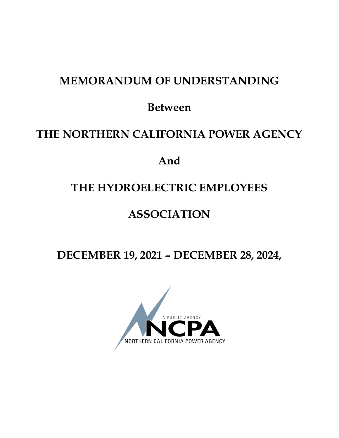# **MEMORANDUM OF UNDERSTANDING**

**Between**

# **THE NORTHERN CALIFORNIA POWER AGENCY**

# **And**

# **THE HYDROELECTRIC EMPLOYEES**

# **ASSOCIATION**

**DECEMBER 19, 2021 – DECEMBER 28, 2024,** 

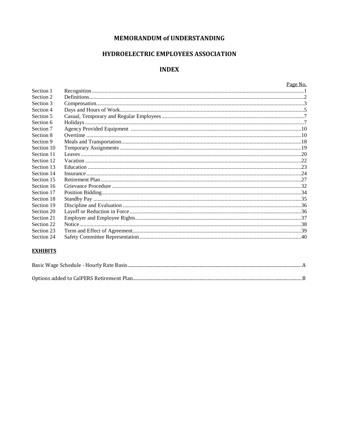## MEMORANDUM of UNDERSTANDING

## HYDROELECTRIC EMPLOYEES ASSOCIATION

## **INDEX**

|            | Page No. |
|------------|----------|
| Section 1  |          |
| Section 2  |          |
| Section 3  |          |
| Section 4  |          |
| Section 5  |          |
| Section 6  |          |
| Section 7  |          |
| Section 8  |          |
| Section 9  |          |
| Section 10 |          |
| Section 11 |          |
| Section 12 |          |
| Section 13 |          |
| Section 14 |          |
| Section 15 |          |
| Section 16 |          |
| Section 17 |          |
| Section 18 |          |
| Section 19 |          |
| Section 20 |          |
| Section 21 |          |
| Section 22 |          |
| Section 23 |          |
| Section 24 |          |
|            |          |

## **EXHIBITS**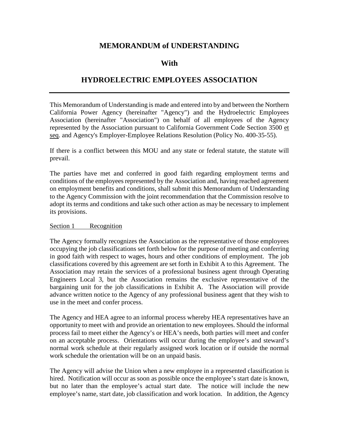## **MEMORANDUM of UNDERSTANDING**

# **With**

# **HYDROELECTRIC EMPLOYEES ASSOCIATION**

This Memorandum of Understanding is made and entered into by and between the Northern California Power Agency (hereinafter "Agency") and the Hydroelectric Employees Association (hereinafter "Association") on behalf of all employees of the Agency represented by the Association pursuant to California Government Code Section 3500 et seq. and Agency's Employer-Employee Relations Resolution (Policy No. 400-35-55).

If there is a conflict between this MOU and any state or federal statute, the statute will prevail.

The parties have met and conferred in good faith regarding employment terms and conditions of the employees represented by the Association and, having reached agreement on employment benefits and conditions, shall submit this Memorandum of Understanding to the Agency Commission with the joint recommendation that the Commission resolve to adopt its terms and conditions and take such other action as may be necessary to implement its provisions.

#### <span id="page-2-0"></span>Section 1 Recognition

The Agency formally recognizes the Association as the representative of those employees occupying the job classifications set forth below for the purpose of meeting and conferring in good faith with respect to wages, hours and other conditions of employment. The job classifications covered by this agreement are set forth in Exhibit A to this Agreement. The Association may retain the services of a professional business agent through Operating Engineers Local 3, but the Association remains the exclusive representative of the bargaining unit for the job classifications in Exhibit A. The Association will provide advance written notice to the Agency of any professional business agent that they wish to use in the meet and confer process.

The Agency and HEA agree to an informal process whereby HEA representatives have an opportunity to meet with and provide an orientation to new employees. Should the informal process fail to meet either the Agency's or HEA's needs, both parties will meet and confer on an acceptable process. Orientations will occur during the employee's and steward's normal work schedule at their regularly assigned work location or if outside the normal work schedule the orientation will be on an unpaid basis.

The Agency will advise the Union when a new employee in a represented classification is hired. Notification will occur as soon as possible once the employee's start date is known, but no later than the employee's actual start date. The notice will include the new employee's name, start date, job classification and work location. In addition, the Agency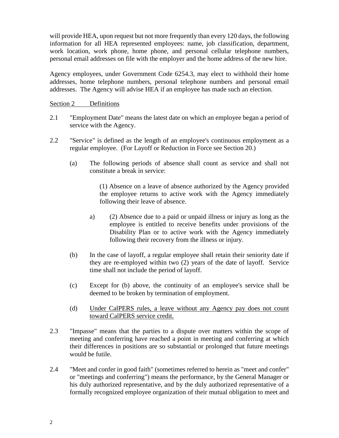will provide HEA, upon request but not more frequently than every 120 days, the following information for all HEA represented employees: name, job classification, department, work location, work phone, home phone, and personal cellular telephone numbers, personal email addresses on file with the employer and the home address of the new hire.

Agency employees, under Government Code 6254.3, may elect to withhold their home addresses, home telephone numbers, personal telephone numbers and personal email addresses. The Agency will advise HEA if an employee has made such an election.

<span id="page-3-0"></span>Section 2 Definitions

- 2.1 "Employment Date" means the latest date on which an employee began a period of service with the Agency.
- 2.2 "Service" is defined as the length of an employee's continuous employment as a regular employee. (For Layoff or Reduction in Force see Section 20.)
	- (a) The following periods of absence shall count as service and shall not constitute a break in service:

(1) Absence on a leave of absence authorized by the Agency provided the employee returns to active work with the Agency immediately following their leave of absence.

- a) (2) Absence due to a paid or unpaid illness or injury as long as the employee is entitled to receive benefits under provisions of the Disability Plan or to active work with the Agency immediately following their recovery from the illness or injury.
- (b) In the case of layoff, a regular employee shall retain their seniority date if they are re-employed within two (2) years of the date of layoff. Service time shall not include the period of layoff.
- (c) Except for (b) above, the continuity of an employee's service shall be deemed to be broken by termination of employment.
- (d) Under CalPERS rules, a leave without any Agency pay does not count toward CalPERS service credit.
- 2.3 "Impasse" means that the parties to a dispute over matters within the scope of meeting and conferring have reached a point in meeting and conferring at which their differences in positions are so substantial or prolonged that future meetings would be futile.
- 2.4 "Meet and confer in good faith" (sometimes referred to herein as "meet and confer" or "meetings and conferring") means the performance, by the General Manager or his duly authorized representative, and by the duly authorized representative of a formally recognized employee organization of their mutual obligation to meet and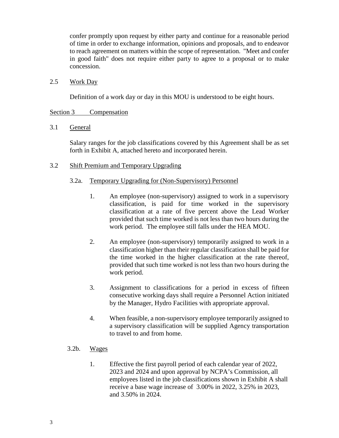confer promptly upon request by either party and continue for a reasonable period of time in order to exchange information, opinions and proposals, and to endeavor to reach agreement on matters within the scope of representation. "Meet and confer in good faith" does not require either party to agree to a proposal or to make concession.

#### 2.5 Work Day

Definition of a work day or day in this MOU is understood to be eight hours.

#### <span id="page-4-0"></span>Section 3 Compensation

## 3.1 General

Salary ranges for the job classifications covered by this Agreement shall be as set forth in Exhibit A, attached hereto and incorporated herein.

## 3.2 Shift Premium and Temporary Upgrading

## 3.2a. Temporary Upgrading for (Non-Supervisory) Personnel

- 1. An employee (non-supervisory) assigned to work in a supervisory classification, is paid for time worked in the supervisory classification at a rate of five percent above the Lead Worker provided that such time worked is not less than two hours during the work period. The employee still falls under the HEA MOU.
- 2. An employee (non-supervisory) temporarily assigned to work in a classification higher than their regular classification shall be paid for the time worked in the higher classification at the rate thereof, provided that such time worked is not less than two hours during the work period.
- 3. Assignment to classifications for a period in excess of fifteen consecutive working days shall require a Personnel Action initiated by the Manager, Hydro Facilities with appropriate approval.
- 4. When feasible, a non-supervisory employee temporarily assigned to a supervisory classification will be supplied Agency transportation to travel to and from home.
- 3.2b. Wages
	- 1. Effective the first payroll period of each calendar year of 2022, 2023 and 2024 and upon approval by NCPA's Commission, all employees listed in the job classifications shown in Exhibit A shall receive a base wage increase of 3.00% in 2022, 3.25% in 2023, and 3.50% in 2024.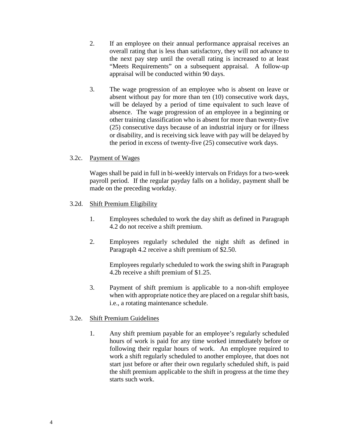- 2. If an employee on their annual performance appraisal receives an overall rating that is less than satisfactory, they will not advance to the next pay step until the overall rating is increased to at least "Meets Requirements" on a subsequent appraisal. A follow-up appraisal will be conducted within 90 days.
- 3. The wage progression of an employee who is absent on leave or absent without pay for more than ten (10) consecutive work days, will be delayed by a period of time equivalent to such leave of absence. The wage progression of an employee in a beginning or other training classification who is absent for more than twenty-five (25) consecutive days because of an industrial injury or for illness or disability, and is receiving sick leave with pay will be delayed by the period in excess of twenty-five (25) consecutive work days.

## 3.2c. Payment of Wages

Wages shall be paid in full in bi-weekly intervals on Fridays for a two-week payroll period. If the regular payday falls on a holiday, payment shall be made on the preceding workday.

## 3.2d. Shift Premium Eligibility

- 1. Employees scheduled to work the day shift as defined in Paragraph 4.2 do not receive a shift premium.
- 2. Employees regularly scheduled the night shift as defined in Paragraph 4.2 receive a shift premium of \$2.50.

Employees regularly scheduled to work the swing shift in Paragraph 4.2b receive a shift premium of \$1.25.

3. Payment of shift premium is applicable to a non-shift employee when with appropriate notice they are placed on a regular shift basis, i.e., a rotating maintenance schedule.

## 3.2e. Shift Premium Guidelines

1. Any shift premium payable for an employee's regularly scheduled hours of work is paid for any time worked immediately before or following their regular hours of work. An employee required to work a shift regularly scheduled to another employee, that does not start just before or after their own regularly scheduled shift, is paid the shift premium applicable to the shift in progress at the time they starts such work.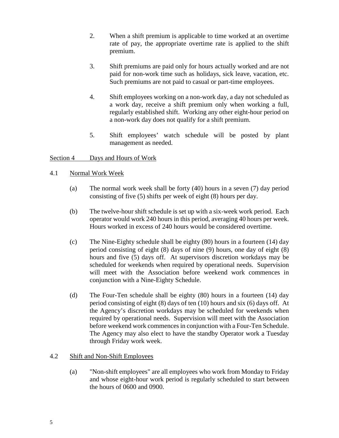- 2. When a shift premium is applicable to time worked at an overtime rate of pay, the appropriate overtime rate is applied to the shift premium.
- 3. Shift premiums are paid only for hours actually worked and are not paid for non-work time such as holidays, sick leave, vacation, etc. Such premiums are not paid to casual or part-time employees.
- 4. Shift employees working on a non-work day, a day not scheduled as a work day, receive a shift premium only when working a full, regularly established shift. Working any other eight-hour period on a non-work day does not qualify for a shift premium.
- 5. Shift employees' watch schedule will be posted by plant management as needed.

## <span id="page-6-0"></span>Section 4 Days and Hours of Work

## 4.1 Normal Work Week

- (a) The normal work week shall be forty (40) hours in a seven (7) day period consisting of five (5) shifts per week of eight (8) hours per day.
- (b) The twelve-hour shift schedule is set up with a six-week work period. Each operator would work 240 hours in this period, averaging 40 hours per week. Hours worked in excess of 240 hours would be considered overtime.
- (c) The Nine-Eighty schedule shall be eighty (80) hours in a fourteen (14) day period consisting of eight (8) days of nine (9) hours, one day of eight (8) hours and five (5) days off. At supervisors discretion workdays may be scheduled for weekends when required by operational needs. Supervision will meet with the Association before weekend work commences in conjunction with a Nine-Eighty Schedule.
- (d) The Four-Ten schedule shall be eighty (80) hours in a fourteen (14) day period consisting of eight (8) days of ten (10) hours and six (6) days off. At the Agency's discretion workdays may be scheduled for weekends when required by operational needs. Supervision will meet with the Association before weekend work commences in conjunction with a Four-Ten Schedule. The Agency may also elect to have the standby Operator work a Tuesday through Friday work week.

## 4.2 Shift and Non-Shift Employees

(a) "Non-shift employees" are all employees who work from Monday to Friday and whose eight-hour work period is regularly scheduled to start between the hours of 0600 and 0900.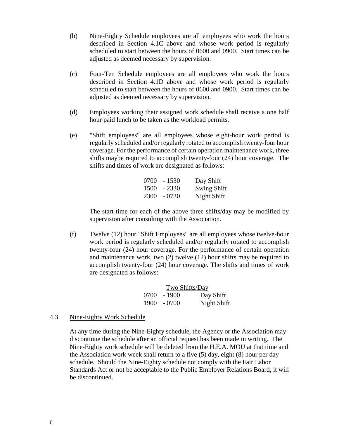- (b) Nine-Eighty Schedule employees are all employees who work the hours described in Section 4.1C above and whose work period is regularly scheduled to start between the hours of 0600 and 0900. Start times can be adjusted as deemed necessary by supervision.
- (c) Four-Ten Schedule employees are all employees who work the hours described in Section 4.1D above and whose work period is regularly scheduled to start between the hours of 0600 and 0900. Start times can be adjusted as deemed necessary by supervision.
- (d) Employees working their assigned work schedule shall receive a one half hour paid lunch to be taken as the workload permits.
- (e) "Shift employees" are all employees whose eight-hour work period is regularly scheduled and/or regularly rotated to accomplish twenty-four hour coverage. For the performance of certain operation maintenance work, three shifts maybe required to accomplish twenty-four (24) hour coverage. The shifts and times of work are designated as follows:

| $0700 - 1530$ | Day Shift          |
|---------------|--------------------|
| $1500 - 2330$ | <b>Swing Shift</b> |
| $2300 - 0730$ | Night Shift        |

The start time for each of the above three shifts/day may be modified by supervision after consulting with the Association.

(f) Twelve (12) hour "Shift Employees" are all employees whose twelve-hour work period is regularly scheduled and/or regularly rotated to accomplish twenty-four (24) hour coverage. For the performance of certain operation and maintenance work, two (2) twelve (12) hour shifts may be required to accomplish twenty-four (24) hour coverage. The shifts and times of work are designated as follows:

| Two Shifts/Day |               |             |  |
|----------------|---------------|-------------|--|
|                | $0700 - 1900$ | Day Shift   |  |
|                | $1900 - 0700$ | Night Shift |  |

#### 4.3 Nine-Eighty Work Schedule

At any time during the Nine-Eighty schedule, the Agency or the Association may discontinue the schedule after an official request has been made in writing. The Nine-Eighty work schedule will be deleted from the H.E.A. MOU at that time and the Association work week shall return to a five (5) day, eight (8) hour per day schedule. Should the Nine-Eighty schedule not comply with the Fair Labor Standards Act or not be acceptable to the Public Employer Relations Board, it will be discontinued.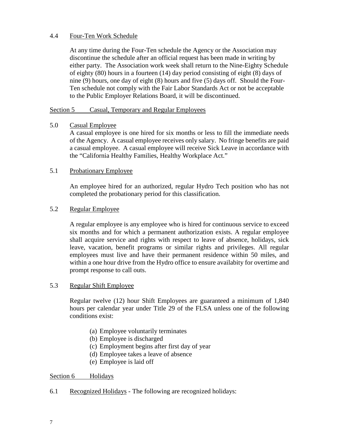## 4.4 Four-Ten Work Schedule

At any time during the Four-Ten schedule the Agency or the Association may discontinue the schedule after an official request has been made in writing by either party. The Association work week shall return to the Nine-Eighty Schedule of eighty (80) hours in a fourteen (14) day period consisting of eight (8) days of nine (9) hours, one day of eight (8) hours and five (5) days off. Should the Four-Ten schedule not comply with the Fair Labor Standards Act or not be acceptable to the Public Employer Relations Board, it will be discontinued.

#### <span id="page-8-0"></span>Section 5 Casual, Temporary and Regular Employees

## 5.0 Casual Employee

A casual employee is one hired for six months or less to fill the immediate needs of the Agency. A casual employee receives only salary. No fringe benefits are paid a casual employee. A casual employee will receive Sick Leave in accordance with the "California Healthy Families, Healthy Workplace Act."

## 5.1 Probationary Employee

An employee hired for an authorized, regular Hydro Tech position who has not completed the probationary period for this classification.

## 5.2 Regular Employee

A regular employee is any employee who is hired for continuous service to exceed six months and for which a permanent authorization exists. A regular employee shall acquire service and rights with respect to leave of absence, holidays, sick leave, vacation, benefit programs or similar rights and privileges. All regular employees must live and have their permanent residence within 50 miles, and within a one hour drive from the Hydro office to ensure availabity for overtime and prompt response to call outs.

#### 5.3 Regular Shift Employee

Regular twelve (12) hour Shift Employees are guaranteed a minimum of 1,840 hours per calendar year under Title 29 of the FLSA unless one of the following conditions exist:

- (a) Employee voluntarily terminates
- (b) Employee is discharged
- (c) Employment begins after first day of year
- (d) Employee takes a leave of absence
- (e) Employee is laid off

## <span id="page-8-1"></span>Section 6 Holidays

6.1 Recognized Holidays - The following are recognized holidays: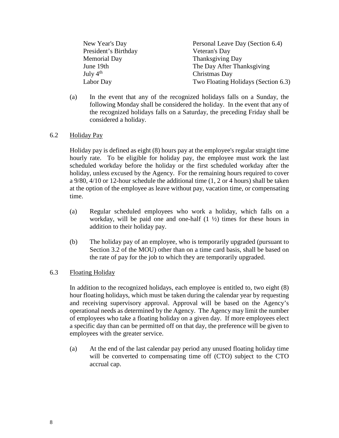New Year's Day Personal Leave Day (Section 6.4) President's Birthday Veteran's Day Memorial Day Thanksgiving Day June 19th The Day After Thanksgiving<br>July 4<sup>th</sup> Christmas Day Christmas Day Labor Day Two Floating Holidays (Section 6.3)

- 
- (a) In the event that any of the recognized holidays falls on a Sunday, the following Monday shall be considered the holiday. In the event that any of the recognized holidays falls on a Saturday, the preceding Friday shall be considered a holiday.

## 6.2 Holiday Pay

Holiday pay is defined as eight (8) hours pay at the employee's regular straight time hourly rate. To be eligible for holiday pay, the employee must work the last scheduled workday before the holiday or the first scheduled workday after the holiday, unless excused by the Agency. For the remaining hours required to cover a 9/80, 4/10 or 12-hour schedule the additional time (1, 2 or 4 hours) shall be taken at the option of the employee as leave without pay, vacation time, or compensating time.

- (a) Regular scheduled employees who work a holiday, which falls on a workday, will be paid one and one-half  $(1 \frac{1}{2})$  times for these hours in addition to their holiday pay.
- (b) The holiday pay of an employee, who is temporarily upgraded (pursuant to Section 3.2 of the MOU) other than on a time card basis, shall be based on the rate of pay for the job to which they are temporarily upgraded.

## 6.3 Floating Holiday

In addition to the recognized holidays, each employee is entitled to, two eight (8) hour floating holidays, which must be taken during the calendar year by requesting and receiving supervisory approval. Approval will be based on the Agency's operational needs as determined by the Agency. The Agency may limit the number of employees who take a floating holiday on a given day. If more employees elect a specific day than can be permitted off on that day, the preference will be given to employees with the greater service.

(a) At the end of the last calendar pay period any unused floating holiday time will be converted to compensating time off (CTO) subject to the CTO accrual cap.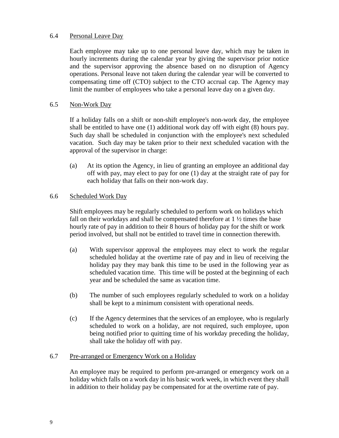### 6.4 Personal Leave Day

Each employee may take up to one personal leave day, which may be taken in hourly increments during the calendar year by giving the supervisor prior notice and the supervisor approving the absence based on no disruption of Agency operations. Personal leave not taken during the calendar year will be converted to compensating time off (CTO) subject to the CTO accrual cap. The Agency may limit the number of employees who take a personal leave day on a given day.

#### 6.5 Non-Work Day

If a holiday falls on a shift or non-shift employee's non-work day, the employee shall be entitled to have one (1) additional work day off with eight (8) hours pay. Such day shall be scheduled in conjunction with the employee's next scheduled vacation. Such day may be taken prior to their next scheduled vacation with the approval of the supervisor in charge:

(a) At its option the Agency, in lieu of granting an employee an additional day off with pay, may elect to pay for one (1) day at the straight rate of pay for each holiday that falls on their non-work day.

## 6.6 Scheduled Work Day

Shift employees may be regularly scheduled to perform work on holidays which fall on their workdays and shall be compensated therefore at  $1\frac{1}{2}$  times the base hourly rate of pay in addition to their 8 hours of holiday pay for the shift or work period involved, but shall not be entitled to travel time in connection therewith.

- (a) With supervisor approval the employees may elect to work the regular scheduled holiday at the overtime rate of pay and in lieu of receiving the holiday pay they may bank this time to be used in the following year as scheduled vacation time. This time will be posted at the beginning of each year and be scheduled the same as vacation time.
- (b) The number of such employees regularly scheduled to work on a holiday shall be kept to a minimum consistent with operational needs.
- (c) If the Agency determines that the services of an employee, who is regularly scheduled to work on a holiday, are not required, such employee, upon being notified prior to quitting time of his workday preceding the holiday, shall take the holiday off with pay.

#### 6.7 Pre-arranged or Emergency Work on a Holiday

An employee may be required to perform pre-arranged or emergency work on a holiday which falls on a work day in his basic work week, in which event they shall in addition to their holiday pay be compensated for at the overtime rate of pay.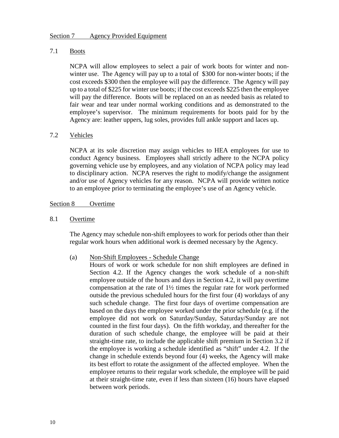#### <span id="page-11-0"></span>7.1 Boots

NCPA will allow employees to select a pair of work boots for winter and nonwinter use. The Agency will pay up to a total of \$300 for non-winter boots; if the cost exceeds \$300 then the employee will pay the difference. The Agency will pay up to a total of \$225 for winter use boots; if the cost exceeds \$225 then the employee will pay the difference. Boots will be replaced on an as needed basis as related to fair wear and tear under normal working conditions and as demonstrated to the employee's supervisor. The minimum requirements for boots paid for by the Agency are: leather uppers, lug soles, provides full ankle support and laces up.

#### 7.2 Vehicles

NCPA at its sole discretion may assign vehicles to HEA employees for use to conduct Agency business. Employees shall strictly adhere to the NCPA policy governing vehicle use by employees, and any violation of NCPA policy may lead to disciplinary action. NCPA reserves the right to modify/change the assignment and/or use of Agency vehicles for any reason. NCPA will provide written notice to an employee prior to terminating the employee's use of an Agency vehicle.

#### <span id="page-11-1"></span>Section 8 Overtime

8.1 Overtime

The Agency may schedule non-shift employees to work for periods other than their regular work hours when additional work is deemed necessary by the Agency.

#### (a) Non-Shift Employees - Schedule Change

Hours of work or work schedule for non shift employees are defined in Section 4.2. If the Agency changes the work schedule of a non-shift employee outside of the hours and days in Section 4.2, it will pay overtime compensation at the rate of 1½ times the regular rate for work performed outside the previous scheduled hours for the first four (4) workdays of any such schedule change. The first four days of overtime compensation are based on the days the employee worked under the prior schedule (e.g. if the employee did not work on Saturday/Sunday, Saturday/Sunday are not counted in the first four days). On the fifth workday, and thereafter for the duration of such schedule change, the employee will be paid at their straight-time rate, to include the applicable shift premium in Section 3.2 if the employee is working a schedule identified as "shift" under 4.2. If the change in schedule extends beyond four (4) weeks, the Agency will make its best effort to rotate the assignment of the affected employee. When the employee returns to their regular work schedule, the employee will be paid at their straight-time rate, even if less than sixteen (16) hours have elapsed between work periods.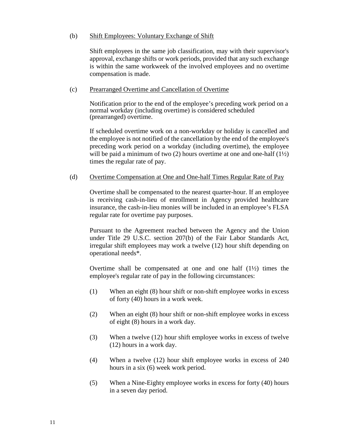#### (b) Shift Employees: Voluntary Exchange of Shift

Shift employees in the same job classification, may with their supervisor's approval, exchange shifts or work periods, provided that any such exchange is within the same workweek of the involved employees and no overtime compensation is made.

#### (c) Prearranged Overtime and Cancellation of Overtime

Notification prior to the end of the employee's preceding work period on a normal workday (including overtime) is considered scheduled (prearranged) overtime.

If scheduled overtime work on a non-workday or holiday is cancelled and the employee is not notified of the cancellation by the end of the employee's preceding work period on a workday (including overtime), the employee will be paid a minimum of two (2) hours overtime at one and one-half  $(1\frac{1}{2})$ times the regular rate of pay.

#### (d) Overtime Compensation at One and One-half Times Regular Rate of Pay

Overtime shall be compensated to the nearest quarter-hour. If an employee is receiving cash-in-lieu of enrollment in Agency provided healthcare insurance, the cash-in-lieu monies will be included in an employee's FLSA regular rate for overtime pay purposes.

Pursuant to the Agreement reached between the Agency and the Union under Title 29 U.S.C. section 207(b) of the Fair Labor Standards Act, irregular shift employees may work a twelve (12) hour shift depending on operational needs\*.

Overtime shall be compensated at one and one half (1½) times the employee's regular rate of pay in the following circumstances:

- (1) When an eight (8) hour shift or non-shift employee works in excess of forty (40) hours in a work week.
- (2) When an eight (8) hour shift or non-shift employee works in excess of eight (8) hours in a work day.
- (3) When a twelve (12) hour shift employee works in excess of twelve (12) hours in a work day.
- (4) When a twelve (12) hour shift employee works in excess of 240 hours in a six (6) week work period.
- (5) When a Nine-Eighty employee works in excess for forty (40) hours in a seven day period.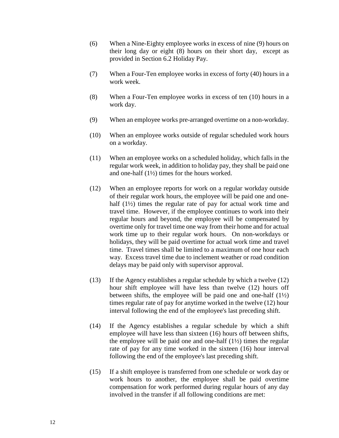- (6) When a Nine-Eighty employee works in excess of nine (9) hours on their long day or eight (8) hours on their short day, except as provided in Section 6.2 Holiday Pay.
- (7) When a Four-Ten employee works in excess of forty (40) hours in a work week.
- (8) When a Four-Ten employee works in excess of ten (10) hours in a work day.
- (9) When an employee works pre-arranged overtime on a non-workday.
- (10) When an employee works outside of regular scheduled work hours on a workday.
- (11) When an employee works on a scheduled holiday, which falls in the regular work week, in addition to holiday pay, they shall be paid one and one-half (1½) times for the hours worked.
- (12) When an employee reports for work on a regular workday outside of their regular work hours, the employee will be paid one and onehalf  $(1\frac{1}{2})$  times the regular rate of pay for actual work time and travel time. However, if the employee continues to work into their regular hours and beyond, the employee will be compensated by overtime only for travel time one way from their home and for actual work time up to their regular work hours. On non-workdays or holidays, they will be paid overtime for actual work time and travel time. Travel times shall be limited to a maximum of one hour each way. Excess travel time due to inclement weather or road condition delays may be paid only with supervisor approval.
- (13) If the Agency establishes a regular schedule by which a twelve (12) hour shift employee will have less than twelve (12) hours off between shifts, the employee will be paid one and one-half  $(1\frac{1}{2})$ times regular rate of pay for anytime worked in the twelve (12) hour interval following the end of the employee's last preceding shift.
- (14) If the Agency establishes a regular schedule by which a shift employee will have less than sixteen (16) hours off between shifts, the employee will be paid one and one-half  $(1\frac{1}{2})$  times the regular rate of pay for any time worked in the sixteen (16) hour interval following the end of the employee's last preceding shift.
- (15) If a shift employee is transferred from one schedule or work day or work hours to another, the employee shall be paid overtime compensation for work performed during regular hours of any day involved in the transfer if all following conditions are met: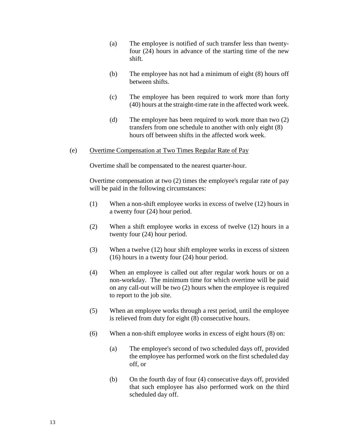- (a) The employee is notified of such transfer less than twentyfour (24) hours in advance of the starting time of the new shift.
- (b) The employee has not had a minimum of eight (8) hours off between shifts.
- (c) The employee has been required to work more than forty (40) hours at the straight-time rate in the affected work week.
- (d) The employee has been required to work more than two (2) transfers from one schedule to another with only eight (8) hours off between shifts in the affected work week.
- (e) Overtime Compensation at Two Times Regular Rate of Pay

Overtime shall be compensated to the nearest quarter-hour.

Overtime compensation at two (2) times the employee's regular rate of pay will be paid in the following circumstances:

- (1) When a non-shift employee works in excess of twelve (12) hours in a twenty four (24) hour period.
- (2) When a shift employee works in excess of twelve (12) hours in a twenty four (24) hour period.
- (3) When a twelve (12) hour shift employee works in excess of sixteen (16) hours in a twenty four (24) hour period.
- (4) When an employee is called out after regular work hours or on a non-workday. The minimum time for which overtime will be paid on any call-out will be two (2) hours when the employee is required to report to the job site.
- (5) When an employee works through a rest period, until the employee is relieved from duty for eight (8) consecutive hours.
- (6) When a non-shift employee works in excess of eight hours (8) on:
	- (a) The employee's second of two scheduled days off, provided the employee has performed work on the first scheduled day off, or
	- (b) On the fourth day of four (4) consecutive days off, provided that such employee has also performed work on the third scheduled day off.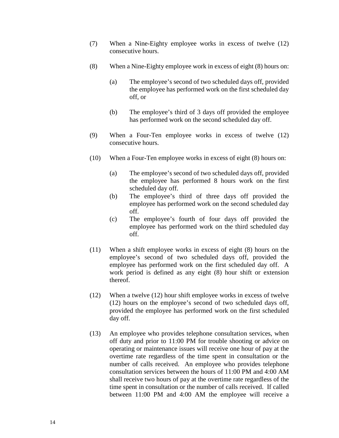- (7) When a Nine-Eighty employee works in excess of twelve (12) consecutive hours.
- (8) When a Nine-Eighty employee work in excess of eight (8) hours on:
	- (a) The employee's second of two scheduled days off, provided the employee has performed work on the first scheduled day off, or
	- (b) The employee's third of 3 days off provided the employee has performed work on the second scheduled day off.
- (9) When a Four-Ten employee works in excess of twelve (12) consecutive hours.
- (10) When a Four-Ten employee works in excess of eight (8) hours on:
	- (a) The employee's second of two scheduled days off, provided the employee has performed 8 hours work on the first scheduled day off.
	- (b) The employee's third of three days off provided the employee has performed work on the second scheduled day off.
	- (c) The employee's fourth of four days off provided the employee has performed work on the third scheduled day off.
- (11) When a shift employee works in excess of eight (8) hours on the employee's second of two scheduled days off, provided the employee has performed work on the first scheduled day off. A work period is defined as any eight (8) hour shift or extension thereof.
- (12) When a twelve (12) hour shift employee works in excess of twelve (12) hours on the employee's second of two scheduled days off, provided the employee has performed work on the first scheduled day off.
- (13) An employee who provides telephone consultation services, when off duty and prior to 11:00 PM for trouble shooting or advice on operating or maintenance issues will receive one hour of pay at the overtime rate regardless of the time spent in consultation or the number of calls received. An employee who provides telephone consultation services between the hours of 11:00 PM and 4:00 AM shall receive two hours of pay at the overtime rate regardless of the time spent in consultation or the number of calls received. If called between 11:00 PM and 4:00 AM the employee will receive a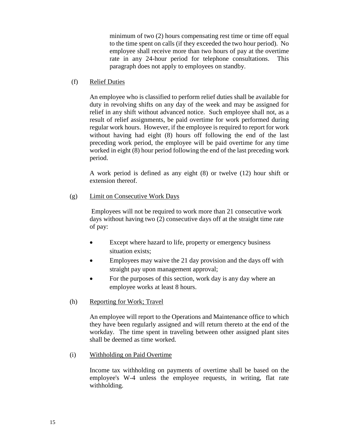minimum of two (2) hours compensating rest time or time off equal to the time spent on calls (if they exceeded the two hour period). No employee shall receive more than two hours of pay at the overtime rate in any 24-hour period for telephone consultations. This paragraph does not apply to employees on standby.

## (f) Relief Duties

An employee who is classified to perform relief duties shall be available for duty in revolving shifts on any day of the week and may be assigned for relief in any shift without advanced notice. Such employee shall not, as a result of relief assignments, be paid overtime for work performed during regular work hours. However, if the employee is required to report for work without having had eight (8) hours off following the end of the last preceding work period, the employee will be paid overtime for any time worked in eight (8) hour period following the end of the last preceding work period.

A work period is defined as any eight (8) or twelve (12) hour shift or extension thereof.

## (g) Limit on Consecutive Work Days

Employees will not be required to work more than 21 consecutive work days without having two (2) consecutive days off at the straight time rate of pay:

- Except where hazard to life, property or emergency business situation exists;
- Employees may waive the 21 day provision and the days off with straight pay upon management approval;
- For the purposes of this section, work day is any day where an employee works at least 8 hours.
- (h) Reporting for Work; Travel

An employee will report to the Operations and Maintenance office to which they have been regularly assigned and will return thereto at the end of the workday. The time spent in traveling between other assigned plant sites shall be deemed as time worked.

(i) Withholding on Paid Overtime

Income tax withholding on payments of overtime shall be based on the employee's W-4 unless the employee requests, in writing, flat rate withholding.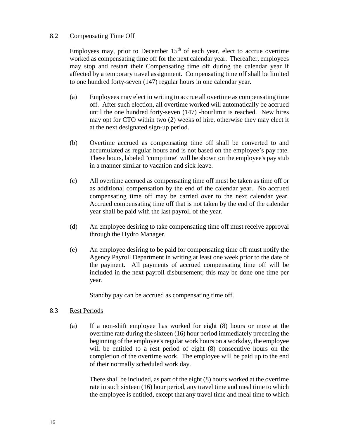### 8.2 Compensating Time Off

Employees may, prior to December  $15<sup>th</sup>$  of each year, elect to accrue overtime worked as compensating time off for the next calendar year. Thereafter, employees may stop and restart their Compensating time off during the calendar year if affected by a temporary travel assignment. Compensating time off shall be limited to one hundred forty-seven (147) regular hours in one calendar year.

- (a) Employees may elect in writing to accrue all overtime as compensating time off. After such election, all overtime worked will automatically be accrued until the one hundred forty-seven (147) -hourlimit is reached. New hires may opt for CTO within two (2) weeks of hire, otherwise they may elect it at the next designated sign-up period.
- (b) Overtime accrued as compensating time off shall be converted to and accumulated as regular hours and is not based on the employee's pay rate. These hours, labeled "comp time" will be shown on the employee's pay stub in a manner similar to vacation and sick leave.
- (c) All overtime accrued as compensating time off must be taken as time off or as additional compensation by the end of the calendar year. No accrued compensating time off may be carried over to the next calendar year. Accrued compensating time off that is not taken by the end of the calendar year shall be paid with the last payroll of the year.
- (d) An employee desiring to take compensating time off must receive approval through the Hydro Manager.
- (e) An employee desiring to be paid for compensating time off must notify the Agency Payroll Department in writing at least one week prior to the date of the payment. All payments of accrued compensating time off will be included in the next payroll disbursement; this may be done one time per year.

Standby pay can be accrued as compensating time off.

#### 8.3 Rest Periods

(a) If a non-shift employee has worked for eight (8) hours or more at the overtime rate during the sixteen (16) hour period immediately preceding the beginning of the employee's regular work hours on a workday, the employee will be entitled to a rest period of eight  $(8)$  consecutive hours on the completion of the overtime work. The employee will be paid up to the end of their normally scheduled work day.

There shall be included, as part of the eight (8) hours worked at the overtime rate in such sixteen (16) hour period, any travel time and meal time to which the employee is entitled, except that any travel time and meal time to which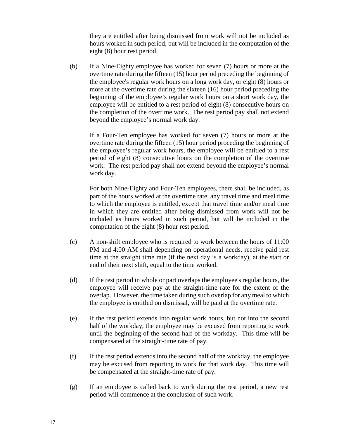they are entitled after being dismissed from work will not be included as hours worked in such period, but will be included in the computation of the eight (8) hour rest period.

(b) If a Nine-Eighty employee has worked for seven (7) hours or more at the overtime rate during the fifteen (15) hour period preceding the beginning of the employee's regular work hours on a long work day, or eight (8) hours or more at the overtime rate during the sixteen (16) hour period preceding the beginning of the employee's regular work hours on a short work day, the employee will be entitled to a rest period of eight (8) consecutive hours on the completion of the overtime work. The rest period pay shall not extend beyond the employee's normal work day.

If a Four-Ten employee has worked for seven (7) hours or more at the overtime rate during the fifteen (15) hour period proceding the beginning of the employee's regular work hours, the employee will be entitled to a rest period of eight (8) consecutive hours on the completion of the overtime work. The rest period pay shall not extend beyond the employee's normal work day.

For both Nine-Eighty and Four-Ten employees, there shall be included, as part of the hours worked at the overtime rate, any travel time and meal time to which the employee is entitled, except that travel time and/or meal time in which they are entitled after being dismissed from work will not be included as hours worked in such period, but will be included in the computation of the eight (8) hour rest period.

- (c) A non-shift employee who is required to work between the hours of 11:00 PM and 4:00 AM shall depending on operational needs, receive paid rest time at the straight time rate (if the next day is a workday), at the start or end of their next shift, equal to the time worked.
- (d) If the rest period in whole or part overlaps the employee's regular hours, the employee will receive pay at the straight-time rate for the extent of the overlap. However, the time taken during such overlap for any meal to which the employee is entitled on dismissal, will be paid at the overtime rate.
- (e) If the rest period extends into regular work hours, but not into the second half of the workday, the employee may be excused from reporting to work until the beginning of the second half of the workday. This time will be compensated at the straight-time rate of pay.
- (f) If the rest period extends into the second half of the workday, the employee may be excused from reporting to work for that work day. This time will be compensated at the straight-time rate of pay.
- (g) If an employee is called back to work during the rest period, a new rest period will commence at the conclusion of such work.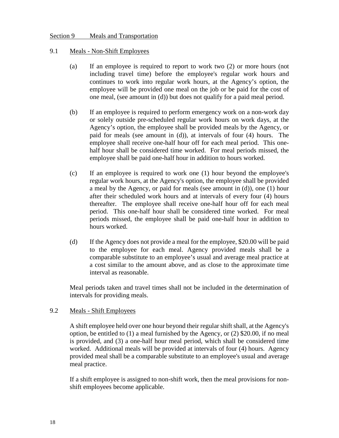#### <span id="page-19-0"></span>Section 9 Meals and Transportation

#### 9.1 Meals - Non-Shift Employees

- (a) If an employee is required to report to work two (2) or more hours (not including travel time) before the employee's regular work hours and continues to work into regular work hours, at the Agency's option, the employee will be provided one meal on the job or be paid for the cost of one meal, (see amount in (d)) but does not qualify for a paid meal period.
- (b) If an employee is required to perform emergency work on a non-work day or solely outside pre-scheduled regular work hours on work days, at the Agency's option, the employee shall be provided meals by the Agency, or paid for meals (see amount in (d)), at intervals of four (4) hours. The employee shall receive one-half hour off for each meal period. This onehalf hour shall be considered time worked. For meal periods missed, the employee shall be paid one-half hour in addition to hours worked.
- (c) If an employee is required to work one (1) hour beyond the employee's regular work hours, at the Agency's option, the employee shall be provided a meal by the Agency, or paid for meals (see amount in (d)), one (1) hour after their scheduled work hours and at intervals of every four (4) hours thereafter. The employee shall receive one-half hour off for each meal period. This one-half hour shall be considered time worked. For meal periods missed, the employee shall be paid one-half hour in addition to hours worked.
- (d) If the Agency does not provide a meal for the employee, \$20.00 will be paid to the employee for each meal. Agency provided meals shall be a comparable substitute to an employee's usual and average meal practice at a cost similar to the amount above, and as close to the approximate time interval as reasonable.

Meal periods taken and travel times shall not be included in the determination of intervals for providing meals.

#### 9.2 Meals - Shift Employees

A shift employee held over one hour beyond their regular shift shall, at the Agency's option, be entitled to (1) a meal furnished by the Agency, or (2) \$20.00, if no meal is provided, and (3) a one-half hour meal period, which shall be considered time worked. Additional meals will be provided at intervals of four (4) hours. Agency provided meal shall be a comparable substitute to an employee's usual and average meal practice.

If a shift employee is assigned to non-shift work, then the meal provisions for nonshift employees become applicable.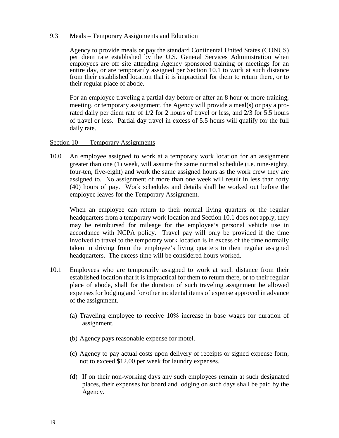#### 9.3 Meals – Temporary Assignments and Education

Agency to provide meals or pay the standard Continental United States (CONUS) per diem rate established by the U.S. General Services Administration when employees are off site attending Agency sponsored training or meetings for an entire day, or are temporarily assigned per Section 10.1 to work at such distance from their established location that it is impractical for them to return there, or to their regular place of abode.

For an employee traveling a partial day before or after an 8 hour or more training, meeting, or temporary assignment, the Agency will provide a meal(s) or pay a prorated daily per diem rate of 1/2 for 2 hours of travel or less, and 2/3 for 5.5 hours of travel or less. Partial day travel in excess of 5.5 hours will qualify for the full daily rate.

#### <span id="page-20-0"></span>Section 10 Temporary Assignments

10.0 An employee assigned to work at a temporary work location for an assignment greater than one (1) week, will assume the same normal schedule (i.e. nine-eighty, four-ten, five-eight) and work the same assigned hours as the work crew they are assigned to. No assignment of more than one week will result in less than forty (40) hours of pay. Work schedules and details shall be worked out before the employee leaves for the Temporary Assignment.

When an employee can return to their normal living quarters or the regular headquarters from a temporary work location and Section 10.1 does not apply, they may be reimbursed for mileage for the employee's personal vehicle use in accordance with NCPA policy. Travel pay will only be provided if the time involved to travel to the temporary work location is in excess of the time normally taken in driving from the employee's living quarters to their regular assigned headquarters. The excess time will be considered hours worked.

- 10.1 Employees who are temporarily assigned to work at such distance from their established location that it is impractical for them to return there, or to their regular place of abode, shall for the duration of such traveling assignment be allowed expenses for lodging and for other incidental items of expense approved in advance of the assignment.
	- (a) Traveling employee to receive 10% increase in base wages for duration of assignment.
	- (b) Agency pays reasonable expense for motel.
	- (c) Agency to pay actual costs upon delivery of receipts or signed expense form, not to exceed \$12.00 per week for laundry expenses.
	- (d) If on their non-working days any such employees remain at such designated places, their expenses for board and lodging on such days shall be paid by the Agency.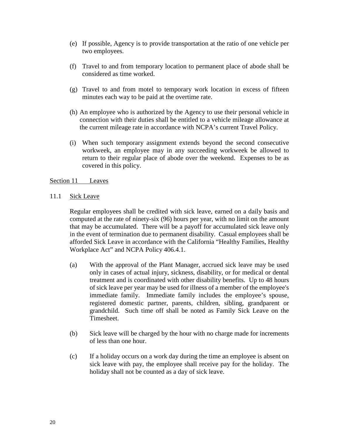- (e) If possible, Agency is to provide transportation at the ratio of one vehicle per two employees.
- (f) Travel to and from temporary location to permanent place of abode shall be considered as time worked.
- (g) Travel to and from motel to temporary work location in excess of fifteen minutes each way to be paid at the overtime rate.
- (h) An employee who is authorized by the Agency to use their personal vehicle in connection with their duties shall be entitled to a vehicle mileage allowance at the current mileage rate in accordance with NCPA's current Travel Policy.
- (i) When such temporary assignment extends beyond the second consecutive workweek, an employee may in any succeeding workweek be allowed to return to their regular place of abode over the weekend. Expenses to be as covered in this policy.

#### <span id="page-21-0"></span>Section 11 Leaves

11.1 Sick Leave

Regular employees shall be credited with sick leave, earned on a daily basis and computed at the rate of ninety-six (96) hours per year, with no limit on the amount that may be accumulated. There will be a payoff for accumulated sick leave only in the event of termination due to permanent disability. Casual employees shall be afforded Sick Leave in accordance with the California "Healthy Families, Healthy Workplace Act" and NCPA Policy 406.4.1.

- (a) With the approval of the Plant Manager, accrued sick leave may be used only in cases of actual injury, sickness, disability, or for medical or dental treatment and is coordinated with other disability benefits. Up to 48 hours of sick leave per year may be used for illness of a member of the employee's immediate family. Immediate family includes the employee's spouse, registered domestic partner, parents, children, sibling, grandparent or grandchild. Such time off shall be noted as Family Sick Leave on the Timesheet.
- (b) Sick leave will be charged by the hour with no charge made for increments of less than one hour.
- (c) If a holiday occurs on a work day during the time an employee is absent on sick leave with pay, the employee shall receive pay for the holiday. The holiday shall not be counted as a day of sick leave.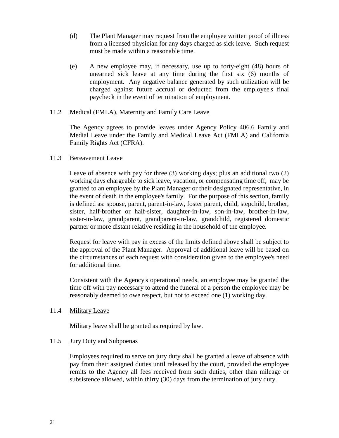- (d) The Plant Manager may request from the employee written proof of illness from a licensed physician for any days charged as sick leave. Such request must be made within a reasonable time.
- (e) A new employee may, if necessary, use up to forty-eight (48) hours of unearned sick leave at any time during the first six (6) months of employment. Any negative balance generated by such utilization will be charged against future accrual or deducted from the employee's final paycheck in the event of termination of employment.

#### 11.2 Medical (FMLA), Maternity and Family Care Leave

The Agency agrees to provide leaves under Agency Policy 406.6 Family and Medial Leave under the Family and Medical Leave Act (FMLA) and California Family Rights Act (CFRA).

#### 11.3 Bereavement Leave

Leave of absence with pay for three (3) working days; plus an additional two (2) working days chargeable to sick leave, vacation, or compensating time off, may be granted to an employee by the Plant Manager or their designated representative, in the event of death in the employee's family. For the purpose of this section, family is defined as: spouse, parent, parent-in-law, foster parent, child, stepchild, brother, sister, half-brother or half-sister, daughter-in-law, son-in-law, brother-in-law, sister-in-law, grandparent, grandparent-in-law, grandchild, registered domestic partner or more distant relative residing in the household of the employee.

Request for leave with pay in excess of the limits defined above shall be subject to the approval of the Plant Manager. Approval of additional leave will be based on the circumstances of each request with consideration given to the employee's need for additional time.

Consistent with the Agency's operational needs, an employee may be granted the time off with pay necessary to attend the funeral of a person the employee may be reasonably deemed to owe respect, but not to exceed one (1) working day.

#### 11.4 Military Leave

Military leave shall be granted as required by law.

#### 11.5 Jury Duty and Subpoenas

Employees required to serve on jury duty shall be granted a leave of absence with pay from their assigned duties until released by the court, provided the employee remits to the Agency all fees received from such duties, other than mileage or subsistence allowed, within thirty (30) days from the termination of jury duty.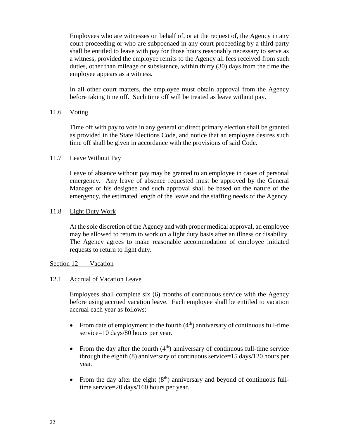Employees who are witnesses on behalf of, or at the request of, the Agency in any court proceeding or who are subpoenaed in any court proceeding by a third party shall be entitled to leave with pay for those hours reasonably necessary to serve as a witness, provided the employee remits to the Agency all fees received from such duties, other than mileage or subsistence, within thirty (30) days from the time the employee appears as a witness.

In all other court matters, the employee must obtain approval from the Agency before taking time off. Such time off will be treated as leave without pay.

#### 11.6 Voting

Time off with pay to vote in any general or direct primary election shall be granted as provided in the State Elections Code, and notice that an employee desires such time off shall be given in accordance with the provisions of said Code.

#### 11.7 Leave Without Pay

Leave of absence without pay may be granted to an employee in cases of personal emergency. Any leave of absence requested must be approved by the General Manager or his designee and such approval shall be based on the nature of the emergency, the estimated length of the leave and the staffing needs of the Agency.

#### 11.8 Light Duty Work

At the sole discretion of the Agency and with proper medical approval, an employee may be allowed to return to work on a light duty basis after an illness or disability. The Agency agrees to make reasonable accommodation of employee initiated requests to return to light duty.

#### <span id="page-23-0"></span>Section 12 Vacation

#### 12.1 Accrual of Vacation Leave

Employees shall complete six (6) months of continuous service with the Agency before using accrued vacation leave. Each employee shall be entitled to vacation accrual each year as follows:

- From date of employment to the fourth  $(4<sup>th</sup>)$  anniversary of continuous full-time service=10 days/80 hours per year.
- From the day after the fourth  $(4<sup>th</sup>)$  anniversary of continuous full-time service through the eighth (8) anniversary of continuous service=15 days/120 hours per year.
- From the day after the eight  $(8<sup>th</sup>)$  anniversary and beyond of continuous fulltime service=20 days/160 hours per year.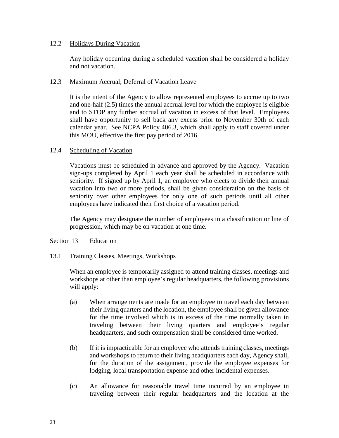#### 12.2 Holidays During Vacation

Any holiday occurring during a scheduled vacation shall be considered a holiday and not vacation.

#### 12.3 Maximum Accrual; Deferral of Vacation Leave

It is the intent of the Agency to allow represented employees to accrue up to two and one-half (2.5) times the annual accrual level for which the employee is eligible and to STOP any further accrual of vacation in excess of that level. Employees shall have opportunity to sell back any excess prior to November 30th of each calendar year. See NCPA Policy 406.3, which shall apply to staff covered under this MOU, effective the first pay period of 2016.

#### 12.4 Scheduling of Vacation

Vacations must be scheduled in advance and approved by the Agency. Vacation sign-ups completed by April 1 each year shall be scheduled in accordance with seniority. If signed up by April 1, an employee who elects to divide their annual vacation into two or more periods, shall be given consideration on the basis of seniority over other employees for only one of such periods until all other employees have indicated their first choice of a vacation period.

The Agency may designate the number of employees in a classification or line of progression, which may be on vacation at one time.

#### <span id="page-24-0"></span>Section 13 Education

#### 13.1 Training Classes, Meetings, Workshops

When an employee is temporarily assigned to attend training classes, meetings and workshops at other than employee's regular headquarters, the following provisions will apply:

- (a) When arrangements are made for an employee to travel each day between their living quarters and the location, the employee shall be given allowance for the time involved which is in excess of the time normally taken in traveling between their living quarters and employee's regular headquarters, and such compensation shall be considered time worked.
- (b) If it is impracticable for an employee who attends training classes, meetings and workshops to return to their living headquarters each day, Agency shall, for the duration of the assignment, provide the employee expenses for lodging, local transportation expense and other incidental expenses.
- (c) An allowance for reasonable travel time incurred by an employee in traveling between their regular headquarters and the location at the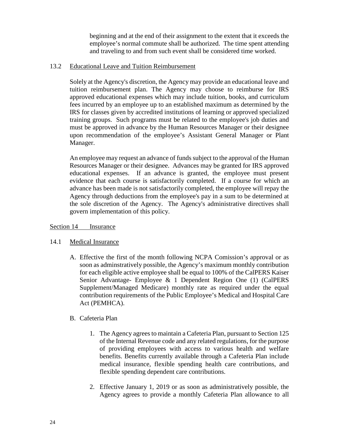beginning and at the end of their assignment to the extent that it exceeds the employee's normal commute shall be authorized. The time spent attending and traveling to and from such event shall be considered time worked.

## 13.2 Educational Leave and Tuition Reimbursement

Solely at the Agency's discretion, the Agency may provide an educational leave and tuition reimbursement plan. The Agency may choose to reimburse for IRS approved educational expenses which may include tuition, books, and curriculum fees incurred by an employee up to an established maximum as determined by the IRS for classes given by accredited institutions of learning or approved specialized training groups. Such programs must be related to the employee's job duties and must be approved in advance by the Human Resources Manager or their designee upon recommendation of the employee's Assistant General Manager or Plant Manager.

An employee may request an advance of funds subject to the approval of the Human Resources Manager or their designee. Advances may be granted for IRS approved educational expenses. If an advance is granted, the employee must present evidence that each course is satisfactorily completed. If a course for which an advance has been made is not satisfactorily completed, the employee will repay the Agency through deductions from the employee's pay in a sum to be determined at the sole discretion of the Agency. The Agency's administrative directives shall govern implementation of this policy.

## <span id="page-25-0"></span>Section 14 Insurance

## 14.1 Medical Insurance

A. Effective the first of the month following NCPA Comission's approval or as soon as adminstratively possible, the Agency's maximum monthly contribution for each eligible active employee shall be equal to 100% of the CalPERS Kaiser Senior Advantage- Employee & 1 Dependent Region One (1) (CalPERS Supplement/Managed Medicare) monthly rate as required under the equal contribution requirements of the Public Employee's Medical and Hospital Care Act (PEMHCA).

## B. Cafeteria Plan

- 1. The Agency agrees to maintain a Cafeteria Plan, pursuant to Section 125 of the Internal Revenue code and any related regulations, for the purpose of providing employees with access to various health and welfare benefits. Benefits currently available through a Cafeteria Plan include medical insurance, flexible spending health care contributions, and flexible spending dependent care contributions.
- 2. Effective January 1, 2019 or as soon as administratively possible, the Agency agrees to provide a monthly Cafeteria Plan allowance to all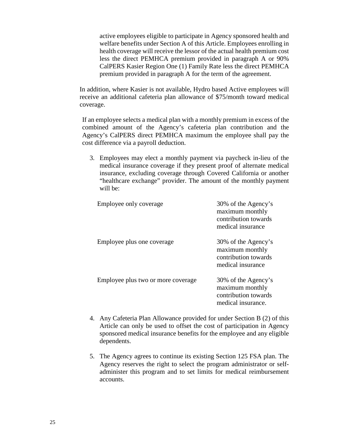active employees eligible to participate in Agency sponsored health and welfare benefits under Section A of this Article. Employees enrolling in health coverage will receive the lessor of the actual health premium cost less the direct PEMHCA premium provided in paragraph A or 90% CalPERS Kasier Region One (1) Family Rate less the direct PEMHCA premium provided in paragraph A for the term of the agreement.

In addition, where Kasier is not available, Hydro based Active employees will receive an additional cafeteria plan allowance of \$75/month toward medical coverage.

If an employee selects a medical plan with a monthly premium in excess of the combined amount of the Agency's cafeteria plan contribution and the Agency's CalPERS direct PEMHCA maximum the employee shall pay the cost difference via a payroll deduction.

3. Employees may elect a monthly payment via paycheck in-lieu of the medical insurance coverage if they present proof of alternate medical insurance, excluding coverage through Covered California or another "healthcare exchange" provider. The amount of the monthly payment will be:

| Employee only coverage             | 30% of the Agency's<br>maximum monthly<br>contribution towards<br>medical insurance  |
|------------------------------------|--------------------------------------------------------------------------------------|
| Employee plus one coverage         | 30% of the Agency's<br>maximum monthly<br>contribution towards<br>medical insurance  |
| Employee plus two or more coverage | 30% of the Agency's<br>maximum monthly<br>contribution towards<br>medical insurance. |

- 4. Any Cafeteria Plan Allowance provided for under Section B (2) of this Article can only be used to offset the cost of participation in Agency sponsored medical insurance benefits for the employee and any eligible dependents.
- 5. The Agency agrees to continue its existing Section 125 FSA plan. The Agency reserves the right to select the program administrator or selfadminister this program and to set limits for medical reimbursement accounts.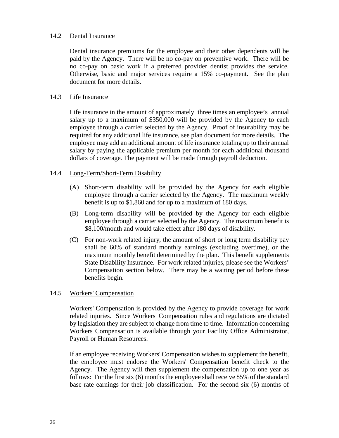#### 14.2 Dental Insurance

Dental insurance premiums for the employee and their other dependents will be paid by the Agency. There will be no co-pay on preventive work. There will be no co-pay on basic work if a preferred provider dentist provides the service. Otherwise, basic and major services require a 15% co-payment. See the plan document for more details.

#### 14.3 Life Insurance

Life insurance in the amount of approximately three times an employee's annual salary up to a maximum of \$350,000 will be provided by the Agency to each employee through a carrier selected by the Agency. Proof of insurability may be required for any additional life insurance, see plan document for more details. The employee may add an additional amount of life insurance totaling up to their annual salary by paying the applicable premium per month for each additional thousand dollars of coverage. The payment will be made through payroll deduction.

#### 14.4 Long-Term/Short-Term Disability

- (A) Short-term disability will be provided by the Agency for each eligible employee through a carrier selected by the Agency. The maximum weekly benefit is up to \$1,860 and for up to a maximum of 180 days.
- (B) Long-term disability will be provided by the Agency for each eligible employee through a carrier selected by the Agency. The maximum benefit is \$8,100/month and would take effect after 180 days of disability.
- (C) For non-work related injury, the amount of short or long term disability pay shall be 60% of standard monthly earnings (excluding overtime), or the maximum monthly benefit determined by the plan. This benefit supplements State Disability Insurance. For work related injuries, please see the Workers' Compensation section below. There may be a waiting period before these benefits begin.

#### 14.5 Workers' Compensation

Workers' Compensation is provided by the Agency to provide coverage for work related injuries. Since Workers' Compensation rules and regulations are dictated by legislation they are subject to change from time to time. Information concerning Workers Compensation is available through your Facility Office Administrator, Payroll or Human Resources.

If an employee receiving Workers' Compensation wishes to supplement the benefit, the employee must endorse the Workers' Compensation benefit check to the Agency. The Agency will then supplement the compensation up to one year as follows: For the first six (6) months the employee shall receive 85% of the standard base rate earnings for their job classification. For the second six (6) months of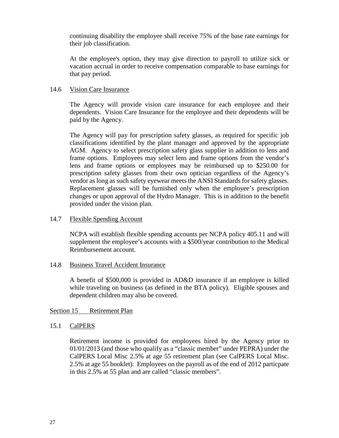continuing disability the employee shall receive 75% of the base rate earnings for their job classification.

At the employee's option, they may give direction to payroll to utilize sick or vacation accrual in order to receive compensation comparable to base earnings for that pay period.

#### 14.6 Vision Care Insurance

The Agency will provide vision care insurance for each employee and their dependents. Vision Care Insurance for the employee and their dependents will be paid by the Agency.

The Agency will pay for prescription safety glasses, as required for specific job classifications identified by the plant manager and approved by the appropriate AGM. Agency to select prescription safety glass supplier in addition to lens and frame options. Employees may select lens and frame options from the vendor's lens and frame options or employees may be reimbursed up to \$250.00 for prescription safety glasses from their own optician regardless of the Agency's vendor as long as such safety eyewear meets the ANSI Standards for safety glasses. Replacement glasses will be furnished only when the employee's prescription changes or upon approval of the Hydro Manager. This is in addition to the benefit provided under the vision plan.

#### 14.7 Flexible Spending Account

NCPA will establish flexible spending accounts per NCPA policy 405.11 and will supplement the employee's accounts with a \$500/year contribution to the Medical Reimbursement account.

#### 14.8 Business Travel Accident Insurance

A benefit of \$500,000 is provided in AD&D insurance if an employee is killed while traveling on business (as defined in the BTA policy). Eligible spouses and dependent children may also be covered.

#### <span id="page-28-0"></span>Section 15 Retirement Plan

#### 15.1 CalPERS

Retirement income is provided for employees hired by the Agency prior to 01/01/2013 (and those who qualify as a "classic member" under PEPRA) under the CalPERS Local Misc 2.5% at age 55 retirement plan (see CalPERS Local Misc. 2.5% at age 55 booklet). Employees on the payroll as of the end of 2012 particpate in this 2.5% at 55 plan and are called "classic members".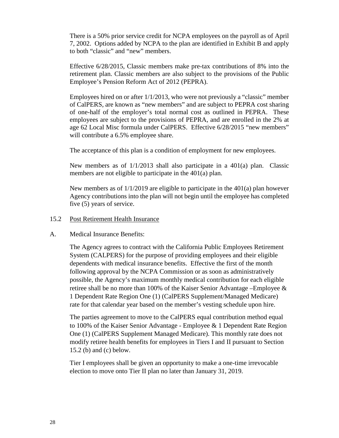There is a 50% prior service credit for NCPA employees on the payroll as of April 7, 2002. Options added by NCPA to the plan are identified in Exhibit B and apply to both "classic" and "new" members.

Effective 6/28/2015, Classic members make pre-tax contributions of 8% into the retirement plan. Classic members are also subject to the provisions of the Public Employee's Pension Reform Act of 2012 (PEPRA).

Employees hired on or after  $1/1/2013$ , who were not previously a "classic" member of CalPERS, are known as "new members" and are subject to PEPRA cost sharing of one-half of the employer's total normal cost as outlined in PEPRA. These employees are subject to the provisions of PEPRA, and are enrolled in the 2% at age 62 Local Misc formula under CalPERS. Effective 6/28/2015 "new members" will contribute a 6.5% employee share.

The acceptance of this plan is a condition of employment for new employees.

New members as of 1/1/2013 shall also participate in a 401(a) plan. Classic members are not eligible to participate in the 401(a) plan.

New members as of 1/1/2019 are eligible to participate in the 401(a) plan however Agency contributions into the plan will not begin until the employee has completed five (5) years of service.

#### 15.2 Post Retirement Health Insurance

#### A. Medical Insurance Benefits:

The Agency agrees to contract with the California Public Employees Retirement System (CALPERS) for the purpose of providing employees and their eligible dependents with medical insurance benefits. Effective the first of the month following approval by the NCPA Commission or as soon as administratively possible, the Agency's maximum monthly medical contribution for each eligible retiree shall be no more than 100% of the Kaiser Senior Advantage –Employee & 1 Dependent Rate Region One (1) (CalPERS Supplement/Managed Medicare) rate for that calendar year based on the member's vesting schedule upon hire.

The parties agreement to move to the CalPERS equal contribution method equal to 100% of the Kaiser Senior Advantage - Employee & 1 Dependent Rate Region One (1) (CalPERS Supplement Managed Medicare). This monthly rate does not modify retiree health benefits for employees in Tiers I and II pursuant to Section 15.2 (b) and (c) below.

Tier I employees shall be given an opportunity to make a one-time irrevocable election to move onto Tier II plan no later than January 31, 2019.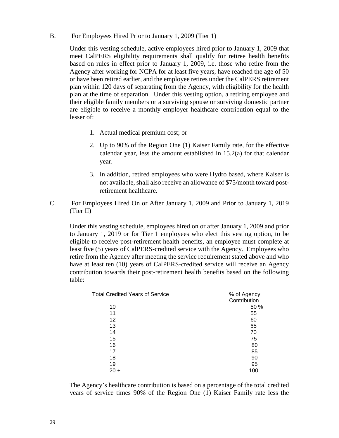B. For Employees Hired Prior to January 1, 2009 (Tier 1)

Under this vesting schedule, active employees hired prior to January 1, 2009 that meet CalPERS eligibility requirements shall qualify for retiree health benefits based on rules in effect prior to January 1, 2009, i.e. those who retire from the Agency after working for NCPA for at least five years, have reached the age of 50 or have been retired earlier, and the employee retires under the CalPERS retirement plan within 120 days of separating from the Agency, with eligibility for the health plan at the time of separation. Under this vesting option, a retiring employee and their eligible family members or a surviving spouse or surviving domestic partner are eligible to receive a monthly employer healthcare contribution equal to the lesser of:

- 1. Actual medical premium cost; or
- 2. Up to 90% of the Region One (1) Kaiser Family rate, for the effective calendar year, less the amount established in 15.2(a) for that calendar year.
- 3. In addition, retired employees who were Hydro based, where Kaiser is not available, shall also receive an allowance of \$75/month toward postretirement healthcare.
- C. For Employees Hired On or After January 1, 2009 and Prior to January 1, 2019 (Tier II)

Under this vesting schedule, employees hired on or after January 1, 2009 and prior to January 1, 2019 or for Tier 1 employees who elect this vesting option, to be eligible to receive post-retirement health benefits, an employee must complete at least five (5) years of CalPERS-credited service with the Agency. Employees who retire from the Agency after meeting the service requirement stated above and who have at least ten (10) years of CalPERS-credited service will receive an Agency contribution towards their post-retirement health benefits based on the following table:

| <b>Total Credited Years of Service</b> | % of Agency  |
|----------------------------------------|--------------|
|                                        | Contribution |
| 10                                     | 50 %         |
| 11                                     | 55           |
| 12                                     | 60           |
| 13                                     | 65           |
| 14                                     | 70           |
| 15                                     | 75           |
| 16                                     | 80           |
| 17                                     | 85           |
| 18                                     | 90           |
| 19                                     | 95           |
| $20 +$                                 | 100          |
|                                        |              |

The Agency's healthcare contribution is based on a percentage of the total credited years of service times 90% of the Region One (1) Kaiser Family rate less the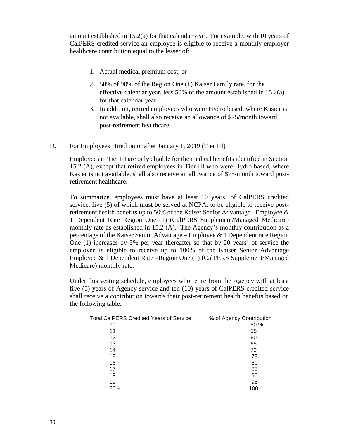amount established in 15.2(a) for that calendar year. For example, with 10 years of CalPERS credited service an employee is eligible to receive a monthly employer healthcare contribution equal to the lesser of:

- 1. Actual medical premium cost; or
- 2. 50% of 90% of the Region One (1) Kaiser Family rate, for the effective calendar year, less 50% of the amount established in 15.2(a) for that calendar year.
- 3. In addition, retired employees who were Hydro based, where Kasier is not available, shall also receive an allowance of \$75/month toward post-retirement healthcare.
- D. For Employees Hired on or after January 1, 2019 (Tier III)

Employees in Tier III are only eligible for the medical benefits identified in Section 15.2 (A), except that retired employees in Tier III who were Hydro based, where Kasier is not available, shall also receive an allowance of \$75/month toward postretirement healthcare.

To summarize, employees must have at least 10 years' of CalPERS credited service, five (5) of which must be served at NCPA, to be eligible to receive postretirement health benefits up to 50% of the Kaiser Senior Advantage –Employee & 1 Dependent Rate Region One (1) (CalPERS Supplement/Managed Medicare) monthly rate as established in 15.2 (A). The Agency's monthly contribution as a percentage of the Kaiser Senior Advantage – Employee & 1 Dependent rate Region One (1) increases by 5% per year thereafter so that by 20 years' of service the employee is eligible to receive up to 100% of the Kaiser Senior Advantage Employee & 1 Dependent Rate –Region One (1) (CalPERS Supplement/Managed Medicare) monthly rate.

Under this vesting schedule, employees who retire from the Agency with at least five (5) years of Agency service and ten (10) years of CalPERS credited service shall receive a contribution towards their post-retirement health benefits based on the following table:

| <b>Total CalPERS Credited Years of Service</b> | % of Agency Contribution |
|------------------------------------------------|--------------------------|
| 10                                             | 50 %                     |
| 11                                             | 55                       |
| 12                                             | 60                       |
| 13                                             | 65                       |
| 14                                             | 70                       |
| 15                                             | 75                       |
| 16                                             | 80                       |
| 17                                             | 85                       |
| 18                                             | 90                       |
| 19                                             | 95                       |
| $20 +$                                         | 100                      |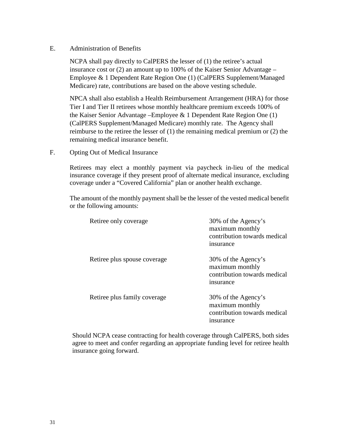#### E. Administration of Benefits

NCPA shall pay directly to CalPERS the lesser of (1) the retiree's actual insurance cost or (2) an amount up to 100% of the Kaiser Senior Advantage – Employee & 1 Dependent Rate Region One (1) (CalPERS Supplement/Managed Medicare) rate, contributions are based on the above vesting schedule.

NPCA shall also establish a Health Reimbursement Arrangement (HRA) for those Tier I and Tier II retirees whose monthly healthcare premium exceeds 100% of the Kaiser Senior Advantage –Employee & 1 Dependent Rate Region One (1) (CalPERS Supplement/Managed Medicare) monthly rate. The Agency shall reimburse to the retiree the lesser of (1) the remaining medical premium or (2) the remaining medical insurance benefit.

F. Opting Out of Medical Insurance

Retirees may elect a monthly payment via paycheck in-lieu of the medical insurance coverage if they present proof of alternate medical insurance, excluding coverage under a "Covered California" plan or another health exchange.

The amount of the monthly payment shall be the lesser of the vested medical benefit or the following amounts:

| Retiree only coverage        | 30% of the Agency's<br>maximum monthly<br>contribution towards medical<br>insurance       |
|------------------------------|-------------------------------------------------------------------------------------------|
| Retiree plus spouse coverage | 30% of the Agency's<br>maximum monthly<br>contribution towards medical<br>insurance       |
| Retiree plus family coverage | 30% of the Agency's<br>maximum monthly<br>contribution towards medical<br><i>nsurance</i> |

Should NCPA cease contracting for health coverage through CalPERS, both sides agree to meet and confer regarding an appropriate funding level for retiree health insurance going forward.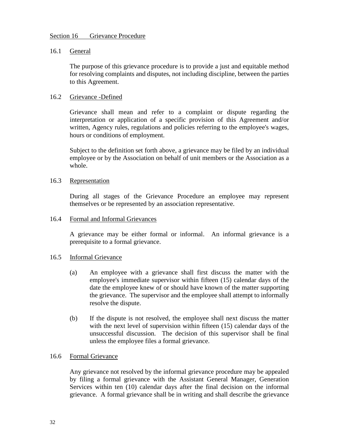#### <span id="page-33-0"></span>Section 16 Grievance Procedure

#### 16.1 General

The purpose of this grievance procedure is to provide a just and equitable method for resolving complaints and disputes, not including discipline, between the parties to this Agreement.

## 16.2 Grievance -Defined

Grievance shall mean and refer to a complaint or dispute regarding the interpretation or application of a specific provision of this Agreement and/or written, Agency rules, regulations and policies referring to the employee's wages, hours or conditions of employment.

Subject to the definition set forth above, a grievance may be filed by an individual employee or by the Association on behalf of unit members or the Association as a whole.

#### 16.3 Representation

During all stages of the Grievance Procedure an employee may represent themselves or be represented by an association representative.

#### 16.4 Formal and Informal Grievances

A grievance may be either formal or informal. An informal grievance is a prerequisite to a formal grievance.

#### 16.5 Informal Grievance

- (a) An employee with a grievance shall first discuss the matter with the employee's immediate supervisor within fifteen (15) calendar days of the date the employee knew of or should have known of the matter supporting the grievance. The supervisor and the employee shall attempt to informally resolve the dispute.
- (b) If the dispute is not resolved, the employee shall next discuss the matter with the next level of supervision within fifteen (15) calendar days of the unsuccessful discussion. The decision of this supervisor shall be final unless the employee files a formal grievance.

#### 16.6 Formal Grievance

Any grievance not resolved by the informal grievance procedure may be appealed by filing a formal grievance with the Assistant General Manager, Generation Services within ten (10) calendar days after the final decision on the informal grievance. A formal grievance shall be in writing and shall describe the grievance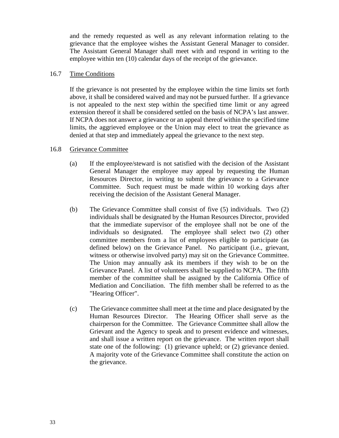and the remedy requested as well as any relevant information relating to the grievance that the employee wishes the Assistant General Manager to consider. The Assistant General Manager shall meet with and respond in writing to the employee within ten (10) calendar days of the receipt of the grievance.

#### 16.7 Time Conditions

If the grievance is not presented by the employee within the time limits set forth above, it shall be considered waived and may not be pursued further. If a grievance is not appealed to the next step within the specified time limit or any agreed extension thereof it shall be considered settled on the basis of NCPA's last answer. If NCPA does not answer a grievance or an appeal thereof within the specified time limits, the aggrieved employee or the Union may elect to treat the grievance as denied at that step and immediately appeal the grievance to the next step.

#### 16.8 Grievance Committee

- (a) If the employee/steward is not satisfied with the decision of the Assistant General Manager the employee may appeal by requesting the Human Resources Director, in writing to submit the grievance to a Grievance Committee. Such request must be made within 10 working days after receiving the decision of the Assistant General Manager.
- (b) The Grievance Committee shall consist of five (5) individuals. Two (2) individuals shall be designated by the Human Resources Director, provided that the immediate supervisor of the employee shall not be one of the individuals so designated. The employee shall select two (2) other committee members from a list of employees eligible to participate (as defined below) on the Grievance Panel. No participant (i.e., grievant, witness or otherwise involved party) may sit on the Grievance Committee. The Union may annually ask its members if they wish to be on the Grievance Panel. A list of volunteers shall be supplied to NCPA. The fifth member of the committee shall be assigned by the California Office of Mediation and Conciliation. The fifth member shall be referred to as the "Hearing Officer".
- (c) The Grievance committee shall meet at the time and place designated by the Human Resources Director. The Hearing Officer shall serve as the chairperson for the Committee. The Grievance Committee shall allow the Grievant and the Agency to speak and to present evidence and witnesses, and shall issue a written report on the grievance. The written report shall state one of the following: (1) grievance upheld; or (2) grievance denied. A majority vote of the Grievance Committee shall constitute the action on the grievance.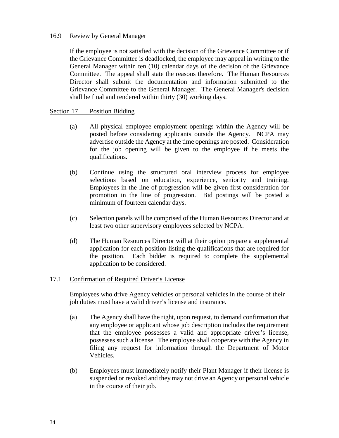#### 16.9 Review by General Manager

If the employee is not satisfied with the decision of the Grievance Committee or if the Grievance Committee is deadlocked, the employee may appeal in writing to the General Manager within ten (10) calendar days of the decision of the Grievance Committee. The appeal shall state the reasons therefore. The Human Resources Director shall submit the documentation and information submitted to the Grievance Committee to the General Manager. The General Manager's decision shall be final and rendered within thirty (30) working days.

#### <span id="page-35-0"></span>Section 17 Position Bidding

- (a) All physical employee employment openings within the Agency will be posted before considering applicants outside the Agency. NCPA may advertise outside the Agency at the time openings are posted. Consideration for the job opening will be given to the employee if he meets the qualifications.
- (b) Continue using the structured oral interview process for employee selections based on education, experience, seniority and training. Employees in the line of progression will be given first consideration for promotion in the line of progression. Bid postings will be posted a minimum of fourteen calendar days.
- (c) Selection panels will be comprised of the Human Resources Director and at least two other supervisory employees selected by NCPA.
- (d) The Human Resources Director will at their option prepare a supplemental application for each position listing the qualifications that are required for the position. Each bidder is required to complete the supplemental application to be considered.

#### 17.1 Confirmation of Required Driver's License

Employees who drive Agency vehicles or personal vehicles in the course of their job duties must have a valid driver's license and insurance.

- (a) The Agency shall have the right, upon request, to demand confirmation that any employee or applicant whose job description includes the requirement that the employee possesses a valid and appropriate driver's license, possesses such a license. The employee shall cooperate with the Agency in filing any request for information through the Department of Motor Vehicles.
- (b) Employees must immediately notify their Plant Manager if their license is suspended or revoked and they may not drive an Agency or personal vehicle in the course of their job.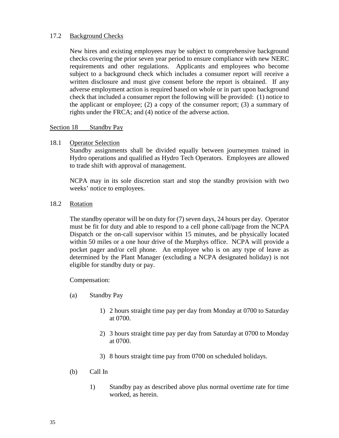## 17.2 Background Checks

New hires and existing employees may be subject to comprehensive background checks covering the prior seven year period to ensure compliance with new NERC requirements and other regulations. Applicants and employees who become subject to a background check which includes a consumer report will receive a written disclosure and must give consent before the report is obtained. If any adverse employment action is required based on whole or in part upon background check that included a consumer report the following will be provided: (1) notice to the applicant or employee; (2) a copy of the consumer report; (3) a summary of rights under the FRCA; and (4) notice of the adverse action.

#### <span id="page-36-0"></span>Section 18 Standby Pay

18.1 Operator Selection

Standby assignments shall be divided equally between journeymen trained in Hydro operations and qualified as Hydro Tech Operators. Employees are allowed to trade shift with approval of management.

NCPA may in its sole discretion start and stop the standby provision with two weeks' notice to employees.

## 18.2 Rotation

The standby operator will be on duty for (7) seven days, 24 hours per day. Operator must be fit for duty and able to respond to a cell phone call/page from the NCPA Dispatch or the on-call supervisor within 15 minutes, and be physically located within 50 miles or a one hour drive of the Murphys office. NCPA will provide a pocket pager and/or cell phone. An employee who is on any type of leave as determined by the Plant Manager (excluding a NCPA designated holiday) is not eligible for standby duty or pay.

Compensation:

- (a) Standby Pay
	- 1) 2 hours straight time pay per day from Monday at 0700 to Saturday at 0700.
	- 2) 3 hours straight time pay per day from Saturday at 0700 to Monday at 0700.
	- 3) 8 hours straight time pay from 0700 on scheduled holidays.
- (b) Call In
	- 1) Standby pay as described above plus normal overtime rate for time worked, as herein.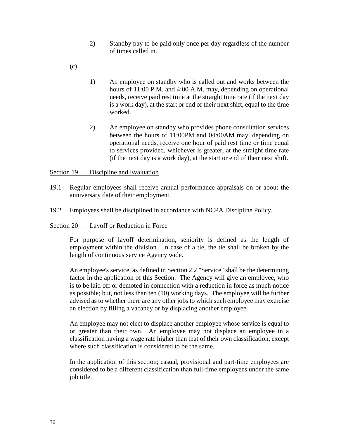- 2) Standby pay to be paid only once per day regardless of the number of times called in.
- (c)
- 1) An employee on standby who is called out and works between the hours of 11:00 P.M. and 4:00 A.M. may, depending on operational needs, receive paid rest time at the straight time rate (if the next day is a work day), at the start or end of their next shift, equal to the time worked.
- 2) An employee on standby who provides phone consultation services between the hours of 11:00PM and 04:00AM may, depending on operational needs, receive one hour of paid rest time or time equal to services provided, whichever is greater, at the straight time rate (if the next day is a work day), at the start or end of their next shift.

<span id="page-37-0"></span>Section 19 Discipline and Evaluation

- 19.1 Regular employees shall receive annual performance appraisals on or about the anniversary date of their employment.
- 19.2 Employees shall be disciplined in accordance with NCPA Discipline Policy.

#### <span id="page-37-1"></span>Section 20 Layoff or Reduction in Force

For purpose of layoff determination, seniority is defined as the length of employment within the division. In case of a tie, the tie shall be broken by the length of continuous service Agency wide.

An employee's service, as defined in Section 2.2 "Service" shall be the determining factor in the application of this Section. The Agency will give an employee, who is to be laid off or demoted in connection with a reduction in force as much notice as possible; but, not less than ten (10) working days. The employee will be further advised as to whether there are any other jobs to which such employee may exercise an election by filling a vacancy or by displacing another employee.

An employee may not elect to displace another employee whose service is equal to or greater than their own. An employee may not displace an employee in a classification having a wage rate higher than that of their own classification, except where such classification is considered to be the same.

In the application of this section; casual, provisional and part-time employees are considered to be a different classification than full-time employees under the same job title.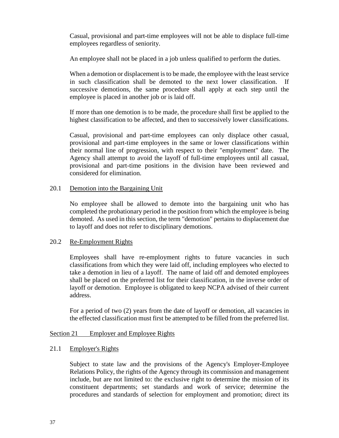Casual, provisional and part-time employees will not be able to displace full-time employees regardless of seniority.

An employee shall not be placed in a job unless qualified to perform the duties.

When a demotion or displacement is to be made, the employee with the least service in such classification shall be demoted to the next lower classification. If successive demotions, the same procedure shall apply at each step until the employee is placed in another job or is laid off.

If more than one demotion is to be made, the procedure shall first be applied to the highest classification to be affected, and then to successively lower classifications.

Casual, provisional and part-time employees can only displace other casual, provisional and part-time employees in the same or lower classifications within their normal line of progression, with respect to their "employment" date. The Agency shall attempt to avoid the layoff of full-time employees until all casual, provisional and part-time positions in the division have been reviewed and considered for elimination.

#### 20.1 Demotion into the Bargaining Unit

No employee shall be allowed to demote into the bargaining unit who has completed the probationary period in the position from which the employee is being demoted. As used in this section, the term "demotion" pertains to displacement due to layoff and does not refer to disciplinary demotions.

#### 20.2 Re-Employment Rights

Employees shall have re-employment rights to future vacancies in such classifications from which they were laid off, including employees who elected to take a demotion in lieu of a layoff. The name of laid off and demoted employees shall be placed on the preferred list for their classification, in the inverse order of layoff or demotion. Employee is obligated to keep NCPA advised of their current address.

For a period of two (2) years from the date of layoff or demotion, all vacancies in the effected classification must first be attempted to be filled from the preferred list.

#### <span id="page-38-0"></span>Section 21 Employer and Employee Rights

#### 21.1 Employer's Rights

Subject to state law and the provisions of the Agency's Employer-Employee Relations Policy, the rights of the Agency through its commission and management include, but are not limited to: the exclusive right to determine the mission of its constituent departments; set standards and work of service; determine the procedures and standards of selection for employment and promotion; direct its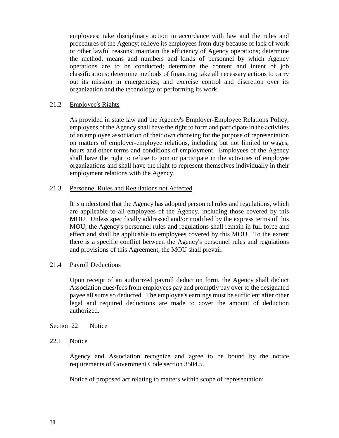employees; take disciplinary action in accordance with law and the rules and procedures of the Agency; relieve its employees from duty because of lack of work or other lawful reasons; maintain the efficiency of Agency operations; determine the method, means and numbers and kinds of personnel by which Agency operations are to be conducted; determine the content and intent of job classifications; determine methods of financing; take all necessary actions to carry out its mission in emergencies; and exercise control and discretion over its organization and the technology of performing its work.

#### 21.2 Employee's Rights

As provided in state law and the Agency's Employer-Employee Relations Policy, employees of the Agency shall have the right to form and participate in the activities of an employee association of their own choosing for the purpose of representation on matters of employer-employee relations, including but not limited to wages, hours and other terms and conditions of employment. Employees of the Agency shall have the right to refuse to join or participate in the activities of employee organizations and shall have the right to represent themselves individually in their employment relations with the Agency.

#### 21.3 Personnel Rules and Regulations not Affected

It is understood that the Agency has adopted personnel rules and regulations, which are applicable to all employees of the Agency, including those covered by this MOU. Unless specifically addressed and/or modified by the express terms of this MOU, the Agency's personnel rules and regulations shall remain in full force and effect and shall be applicable to employees covered by this MOU. To the extent there is a specific conflict between the Agency's personnel rules and regulations and provisions of this Agreement, the MOU shall prevail.

#### 21.4 Payroll Deductions

Upon receipt of an authorized payroll deduction form, the Agency shall deduct Association dues/fees from employees pay and promptly pay over to the designated payee all sums so deducted. The employee's earnings must be sufficient after other legal and required deductions are made to cover the amount of deduction authorized.

#### <span id="page-39-0"></span>Section 22 Notice

#### 22.1 Notice

Agency and Association recognize and agree to be bound by the notice requirements of Government Code section 3504.5.

Notice of proposed act relating to matters within scope of representation;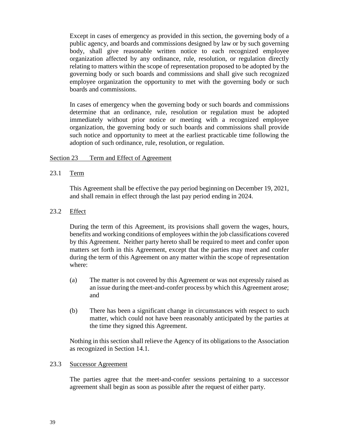Except in cases of emergency as provided in this section, the governing body of a public agency, and boards and commissions designed by law or by such governing body, shall give reasonable written notice to each recognized employee organization affected by any ordinance, rule, resolution, or regulation directly relating to matters within the scope of representation proposed to be adopted by the governing body or such boards and commissions and shall give such recognized employee organization the opportunity to met with the governing body or such boards and commissions.

In cases of emergency when the governing body or such boards and commissions determine that an ordinance, rule, resolution or regulation must be adopted immediately without prior notice or meeting with a recognized employee organization, the governing body or such boards and commissions shall provide such notice and opportunity to meet at the earliest practicable time following the adoption of such ordinance, rule, resolution, or regulation.

## <span id="page-40-0"></span>Section 23 Term and Effect of Agreement

23.1 Term

This Agreement shall be effective the pay period beginning on December 19, 2021, and shall remain in effect through the last pay period ending in 2024.

23.2 Effect

During the term of this Agreement, its provisions shall govern the wages, hours, benefits and working conditions of employees within the job classifications covered by this Agreement. Neither party hereto shall be required to meet and confer upon matters set forth in this Agreement, except that the parties may meet and confer during the term of this Agreement on any matter within the scope of representation where:

- (a) The matter is not covered by this Agreement or was not expressly raised as an issue during the meet-and-confer process by which this Agreement arose; and
- (b) There has been a significant change in circumstances with respect to such matter, which could not have been reasonably anticipated by the parties at the time they signed this Agreement.

Nothing in this section shall relieve the Agency of its obligations to the Association as recognized in Section 14.1.

#### 23.3 Successor Agreement

The parties agree that the meet-and-confer sessions pertaining to a successor agreement shall begin as soon as possible after the request of either party.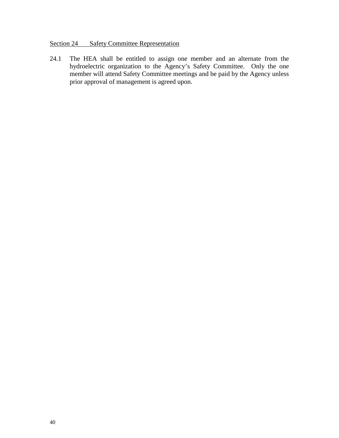## <span id="page-41-0"></span>Section 24 Safety Committee Representation

24.1 The HEA shall be entitled to assign one member and an alternate from the hydroelectric organization to the Agency's Safety Committee. Only the one member will attend Safety Committee meetings and be paid by the Agency unless prior approval of management is agreed upon.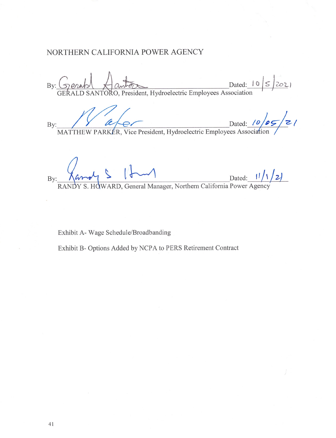## NORTHERN CALIFORNIA POWER AGENCY

By: Gerald Aanton Dated: 10 5 2021

Dated: 10/05/21 By:

 $\frac{11}{12}$ <br>HOWARD, General Manager, Northern California Power Agency By

Exhibit A- Wage Schedule/Broadbanding

Exhibit B- Options Added by NCPA to PERS Retirement Contract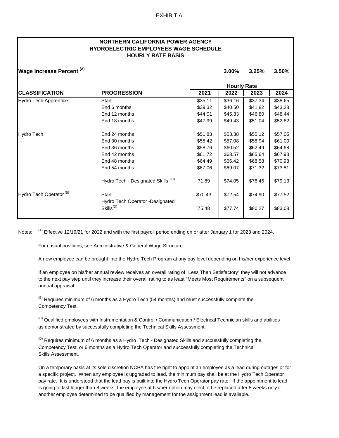#### **NORTHERN CALIFORNIA POWER AGENCY HOURLY RATE BASIS HYDROELECTRIC EMPLOYEES WAGE SCHEDULE**

| <b>Wage Increase Percent (A)</b>   |                                                          |         | 3.00%              | 3.25%   | 3.50%   |  |
|------------------------------------|----------------------------------------------------------|---------|--------------------|---------|---------|--|
|                                    |                                                          |         | <b>Hourly Rate</b> |         |         |  |
| <b>CLASSIFICATION</b>              | <b>PROGRESSION</b>                                       | 2021    | 2022               | 2023    | 2024    |  |
| <b>Hydro Tech Apprentice</b>       | <b>Start</b>                                             | \$35.11 | \$36.16            | \$37.34 | \$38.65 |  |
|                                    | End 6 months                                             | \$39.32 | \$40.50            | \$41.82 | \$43.28 |  |
|                                    | End 12 months                                            | \$44.01 | \$45.33            | \$46.80 | \$48.44 |  |
|                                    | End 18 months                                            | \$47.99 | \$49.43            | \$51.04 | \$52.82 |  |
| <b>Hydro Tech</b>                  | End 24 months                                            | \$51.83 | \$53.38            | \$55.12 | \$57.05 |  |
|                                    | End 30 months                                            | \$55.42 | \$57.08            | \$58.94 | \$61.00 |  |
|                                    | End 36 months                                            | \$58.76 | \$60.52            | \$62.49 | \$64.68 |  |
|                                    | End 42 months                                            | \$61.72 | \$63.57            | \$65.64 | \$67.93 |  |
|                                    | End 48 months                                            | \$64.49 | \$66.42            | \$68.58 | \$70.98 |  |
|                                    | End 54 months                                            | \$67.06 | \$69.07            | \$71.32 | \$73.81 |  |
|                                    | Hydro Tech - Designated Skills <sup>(C)</sup>            | 71.89   | \$74.05            | \$76.45 | \$79.13 |  |
| Hydro Tech Operator <sup>(B)</sup> | <b>Start</b>                                             | \$70.43 | \$72.54            | \$74.90 | \$77.52 |  |
|                                    | Hydro Tech Operator -Designated<br>Skills <sup>(D)</sup> | 75.48   | \$77.74            | \$80.27 | \$83.08 |  |

Notes:  $^{(A)}$  Effective 12/19/21 for 2022 and with the first payroll period ending on or after January 1 for 2023 and 2024.

For casual positions, see Administrative & General Wage Structure.

A new employee can be brought into the Hydro Tech Program at any pay level depending on his/her experience level.

If an employee on his/her annual review receives an overall rating of "Less Than Satisfactory" they will not advance to the next pay step until they increase their overall rating to as least "Meets Most Requirements" on a subsequent annual appraisal.

 $<sup>(B)</sup>$  Requires minimum of 6 months as a Hydro Tech (54 months) and must successfully complete the</sup> Competency Test.

<sup>(C)</sup> Qualified emplovees with Instrumentation & Control / Communication / Electrical Technician skills and abilities as demonstrated by successfully completing the Technical Skills Assessment.

<sup>(D)</sup> Requires minimum of 6 months as a Hydro -Tech - Designated Skills and succussfully completing the Competency Test, or 6 months as a Hydro Tech Operator and successfully completing the Technical Skills Assessment.

On a temporary basis at its sole discretion NCPA has the right to appoint an employee as a lead during outages or for a specific project. When any employee is upgraded to lead, the minimum pay shall be at the Hydro Tech Operator pay rate. It is understood that the lead pay is built into the Hydro Tech Operator pay rate. If the appointment to lead is going to last longer than 8 weeks, the employee at his/her option may elect to be replaced after 8 weeks only if another employee determined to be qualified by management for the assignment lead is available.